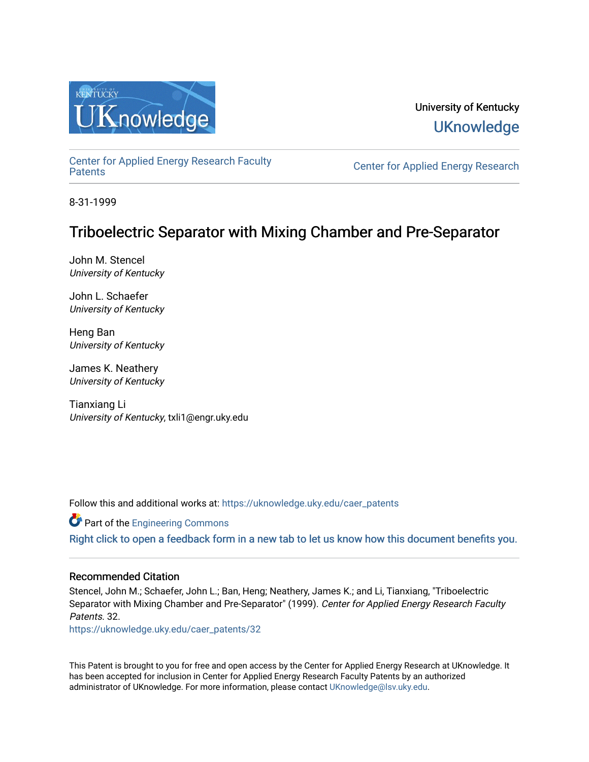

# University of Kentucky **UKnowledge**

[Center for Applied Energy Research Faculty](https://uknowledge.uky.edu/caer_patents)

Center for Applied Energy Research

8-31-1999

# Triboelectric Separator with Mixing Chamber and Pre-Separator

John M. Stencel University of Kentucky

John L. Schaefer University of Kentucky

Heng Ban University of Kentucky

James K. Neathery University of Kentucky

Tianxiang Li University of Kentucky, txli1@engr.uky.edu

Follow this and additional works at: [https://uknowledge.uky.edu/caer\\_patents](https://uknowledge.uky.edu/caer_patents?utm_source=uknowledge.uky.edu%2Fcaer_patents%2F32&utm_medium=PDF&utm_campaign=PDFCoverPages) 

**Part of the [Engineering Commons](http://network.bepress.com/hgg/discipline/217?utm_source=uknowledge.uky.edu%2Fcaer_patents%2F32&utm_medium=PDF&utm_campaign=PDFCoverPages)** 

[Right click to open a feedback form in a new tab to let us know how this document benefits you.](https://uky.az1.qualtrics.com/jfe/form/SV_9mq8fx2GnONRfz7)

# Recommended Citation

Stencel, John M.; Schaefer, John L.; Ban, Heng; Neathery, James K.; and Li, Tianxiang, "Triboelectric Separator with Mixing Chamber and Pre-Separator" (1999). Center for Applied Energy Research Faculty Patents. 32.

[https://uknowledge.uky.edu/caer\\_patents/32](https://uknowledge.uky.edu/caer_patents/32?utm_source=uknowledge.uky.edu%2Fcaer_patents%2F32&utm_medium=PDF&utm_campaign=PDFCoverPages)

This Patent is brought to you for free and open access by the Center for Applied Energy Research at UKnowledge. It has been accepted for inclusion in Center for Applied Energy Research Faculty Patents by an authorized administrator of UKnowledge. For more information, please contact [UKnowledge@lsv.uky.edu](mailto:UKnowledge@lsv.uky.edu).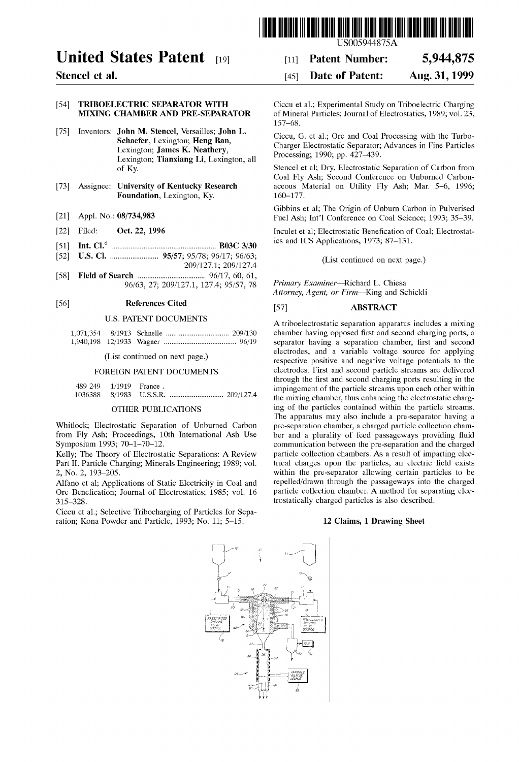

[11] Patent Number: [45] Date of Patent:

# United States Patent [19]

Stencel et al.

# [54] TRIBOELECTRIC SEPARATOR WITH MIXING CHAMBER AND PRE-SEPARATOR

- [75] Inventors: John M. Stencel, Versailles; John L. Schaefer, Lexington; Heng Ban, Lexington; James K. Neathery, Lexington; Tianxiang Li, Lexington, all of Ky.
- [73] Assignee: University of Kentucky Research Foundation, Lexington, Ky.
- [21] Appl. No.: 08/734,983
- [22] Filed: Oct. 22, 1996
- [51] Int. Cl.6 ...................................................... .. B03C 3/30
- [52] us. Cl. ........................ .. 95/57; 95/78; 96/17; 96/63;
- 209/127.1; 209/127.4 [58] Field of Search .................................. .. 96/17, 60, 61,
- 96/63, 27; 209/127.1, 127.4; 95/57, 78

### [56] References Cited

#### U.S. PATENT DOCUMENTS

(List continued on next page.)

#### FOREIGN PATENT DOCUMENTS

| 489 249 1/1919 France. |  |  |
|------------------------|--|--|
|                        |  |  |

#### OTHER PUBLICATIONS

Whitlock; Electrostatic Separation of Unburned Carbon from Fly Ash; Proceedings, 10th International Ash Use Symposium 1993; 70—1—70—12.

Kelly; The Theory of Electrostatic Separations: A Review Part II. Particle Charging; Minerals Engineering; 1989; vol. 2, No. 2, 193—205.

Alfano et al; Applications of Static Electricity in Coal and Ore Benefication; Journal of Electrostatics; 1985; vol. 16 315—328.

Ciccu et al.; Selective Tribocharging of Particles for Sepa ration; Kona Powder and Particle, 1993; No. 11; 5—15.

Ciccu et al.; Experimental Study on Triboelectric Charging of Mineral Particles; Journal of Electrostatics, 1989; vol. 23, 157—68.

5,944,875 Aug. 31, 1999

Ciccu, G. et al.; Ore and Coal Processing with the Turbo Charger Electrostatic Separator; Advances in Fine Particles Processing; 1990; pp. 427—439.

Stencel et al; Dry, Electrostatic Separation of Carbon from Coal Fly Ash; Second Conference on Unburned Carbon aceous Material on Utility Fly Ash; Mar. 5—6, 1996; 160—177.

Gibbins et al; The Origin of Unburn Carbon in Pulverised Fuel Ash; Int'l Conference on Coal Science; 1993; 35—39.

Inculet et al; Electrostatic Benefication of Coal; Electrostatics and ICS Applications, 1973; 87—131.

(List continued on next page.)

Primary Examiner—Richard L. Chiesa Attorney, Agent, or Firm—King and Schickli

# [57] ABSTRACT

A triboelectrostatic separation apparatus includes a mixing chamber having opposed first and second charging ports, a separator having a separation chamber, first and second electrodes, and a variable voltage source for applying respective positive and negative voltage potentials to the electrodes. First and second particle streams are delivered through the first and second charging ports resulting in the impingement of the particle streams upon each other within the mixing chamber, thus enhancing the electrostatic charg ing of the particles contained within the particle streams. The apparatus may also include a pre-separator having a pre-separation chamber, a charged particle collection cham ber and a plurality of feed passageways providing fluid communication between the pre-separation and the charged particle collection chambers. As a result of imparting elec trical charges upon the particles, an electric field exists within the pre-separator allowing certain particles to be repelled/drawn through the passageways into the charged particle collection chamber. A method for separating elec trostatically charged particles is also described.

#### 12 Claims, 1 Drawing Sheet

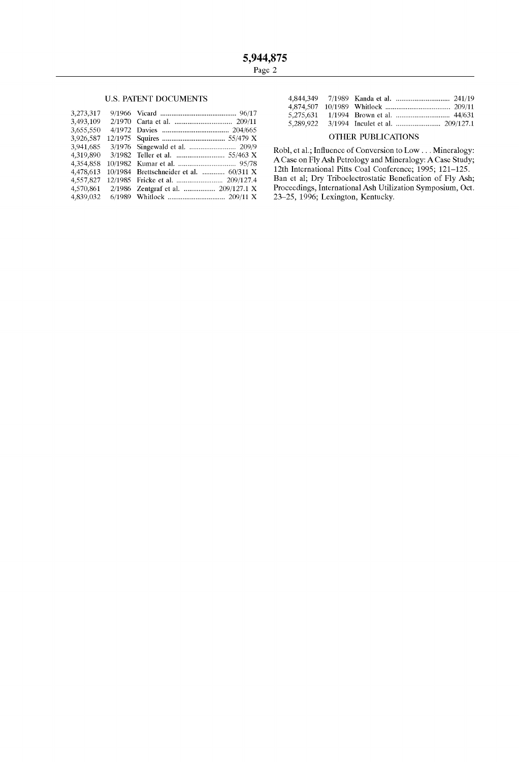# **U.S. PATENT DOCUMENTS**

| 3,273,317 |                                         |  |
|-----------|-----------------------------------------|--|
| 3,493,109 |                                         |  |
| 3,655,550 |                                         |  |
| 3,926,587 |                                         |  |
| 3.941.685 |                                         |  |
| 4,319,890 |                                         |  |
| 4,354,858 |                                         |  |
| 4.478.613 | 10/1984 Brettschneider et al.  60/311 X |  |
| 4,557,827 |                                         |  |
| 4,570,861 | 2/1986 Zentgraf et al.  209/127.1 X     |  |
| 4.839.032 |                                         |  |

#### OTHER PUBLICATIONS

Robl, et al.; Influence of Conversion to Low . . . Mineralogy:<br>A Case on Fly Ash Petrology and Mineralogy: A Case Study;<br>12th International Pitts Coal Conference; 1995; 121–125. Ban et al; Dry Triboelectrostatic Benefication of Fly Ash;<br>Proceedings, International Ash Utilization Symposium, Oct. 23-25, 1996; Lexington, Kentucky.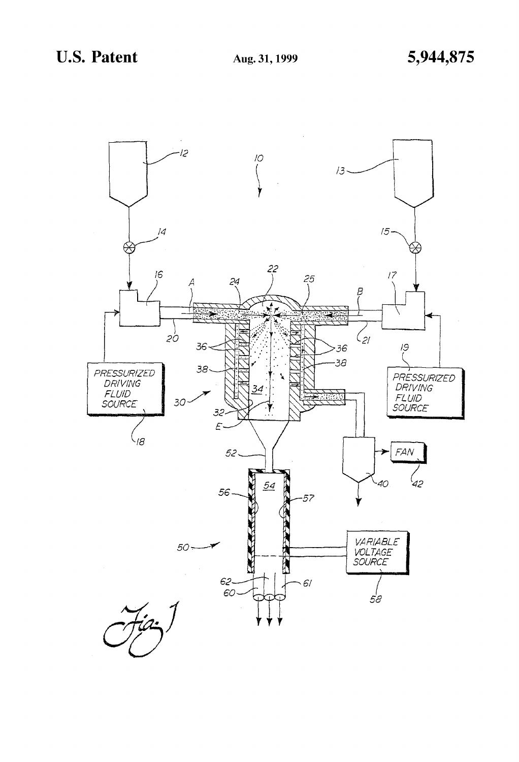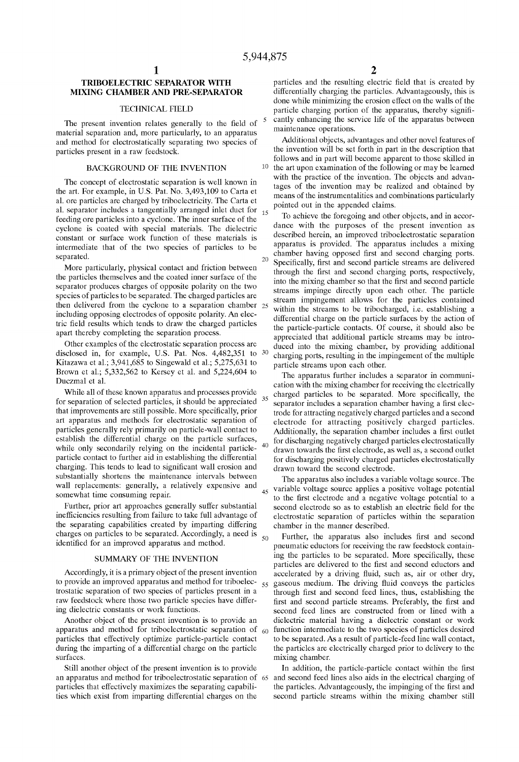# TRIBOELECTRIC SEPARATOR WITH MIXING CHAMBER AND PRE-SEPARATOR

### TECHNICAL FIELD

The present invention relates generally to the field of material separation and, more particularly, to an apparatus and method for electrostatically separating two species of particles present in a raW feedstock.

### BACKGROUND OF THE INVENTION

The concept of electrostatic separation is Well knoWn in the art. For example, in US. Pat. No. 3,493,109 to Carta et al. ore particles are charged by triboelectricity. The Carta et al. separator includes a tangentially arranged inlet duct for  $_{15}$ feeding ore particles into a cyclone. The inner surface of the cyclone is coated With special materials. The dielectric constant or surface Work function of these materials is intermediate that of the tWo species of particles to be separated.

More particularly, physical contact and friction between the particles themselves and the coated inner surface of the separator produces charges of opposite polarity on the two species of particles to be separated. The charged particles are then delivered from the cyclone to a separation chamber 25 including opposing electrodes of opposite polarity. An elec tric field results which tends to draw the charged particles apart thereby completing the separation process.

Other eXamples of the electrostatic separation process are disclosed in, for example, U.S. Pat. Nos. 4,482,351 to 30 Kitazawa et al.; 3,941,685 to Singewald et al.; 5,275,631 to BroWn et al.; 5,332,562 to Kersey et al. and 5,224,604 to DucZmal et al.

While all of these known apparatus and processes provide for separation of selected particles, it should be appreciated that improvements are still possible. More specifically, prior art apparatus and methods for electrostatic separation of particles generally rely primarily on particle-Wall contact to establish the differential charge on the particle surfaces, while only secondarily relying on the incidental particleparticle contact to further aid in establishing the differential charging. This tends to lead to significant wall erosion and substantially shortens the maintenance intervals between wall replacements: generally, a relatively expensive and somewhat time consuming repair.

Further, prior art approaches generally suffer substantial inefficiencies resulting from failure to take full advantage of the separating capabilities created by imparting differing charges on particles to be separated. Accordingly, a need is identified for an improved apparatus and method.

#### SUMMARY OF THE INVENTION

Accordingly, it is a primary object of the present invention to provide an improved apparatus and method for triboelec- $_{55}$ trostatic separation of tWo species of particles present in a raw feedstock where those two particle species have differing dielectric constants or Work functions.

Another object of the present invention is to provide an apparatus and method for triboelectrostatic separation of  $_{60}$ particles that effectively optimize particle-particle contact during the imparting of a differential charge on the particle surfaces.

Still another object of the present invention is to provide an apparatus and method for triboelectrostatic separation of 65 particles that effectively maximizes the separating capabilities which exist from imparting differential charges on the

particles and the resulting electric field that is created by differentially charging the particles. Advantageously, this is done while minimizing the erosion effect on the walls of the particle charging portion of the apparatus, thereby significantly enhancing the service life of the apparatus between maintenance operations.

Additional objects, advantages and other novel features of the invention Will be set forth in part in the description that folloWs and in part Will become apparent to those skilled in  $10$  the art upon examination of the following or may be learned with the practice of the invention. The objects and advantages of the invention may be realized and obtained by means of the instrumentalities and combinations particularly pointed out in the appended claims.

To achieve the foregoing and other objects, and in accor dance With the purposes of the present invention as described herein, an improved triboelectrostatic separation apparatus is provided. The apparatus includes a mixing chamber having opposed first and second charging ports. Specifically, first and second particle streams are delivered through the first and second charging ports, respectively, into the mixing chamber so that the first and second particle streams impinge directly upon each other. The particle stream impingement alloWs for the particles contained within the streams to be tribocharged, i.e. establishing a differential charge on the particle surfaces by the action of the particle-particle contacts. Of course, it should also be appreciated that additional particle streams may be intro duced into the miXing chamber, by providing additional charging ports, resulting in the impingement of the multiple particle streams upon each other.

The apparatus further includes a separator in communi cation With the miXing chamber for receiving the electrically charged particles to be separated. More specifically, the separator includes a separation chamber having a first electrode for attracting negatively charged particles and a second electrode for attracting positively charged particles. Additionally, the separation chamber includes a first outlet for discharging negatively charged particles electrostatically drawn towards the first electrode, as well as, a second outlet for discharging positively charged particles electrostatically draWn toWard the second electrode.

45 The apparatus also includes a variable voltage source. The variable voltage source applies a positive voltage potential to the first electrode and a negative voltage potential to a second electrode so as to establish an electric field for the electrostatic separation of particles Within the separation chamber in the manner described.

Further, the apparatus also includes first and second pneumatic eductors for receiving the raw feedstock containing the particles to be separated. More specifically, these particles are delivered to the first and second eductors and accelerated by a driving fluid, such as, air or other dry, gaseous medium. The driving fluid conveys the particles through first and second feed lines, thus, establishing the first and second particle streams. Preferably, the first and second feed lines are constructed from or lined With a dielectric material having a dielectric constant or Work function intermediate to the two species of particles desired to be separated. As a result of particle-feed line Wall contact, the particles are electrically charged prior to delivery to the mixing chamber.

In addition, the particle-particle contact within the first and second feed lines also aids in the electrical charging of the particles. Advantageously, the impinging of the first and second particle streams within the mixing chamber still

20

35

 $50$ 

 $\mathcal{L}$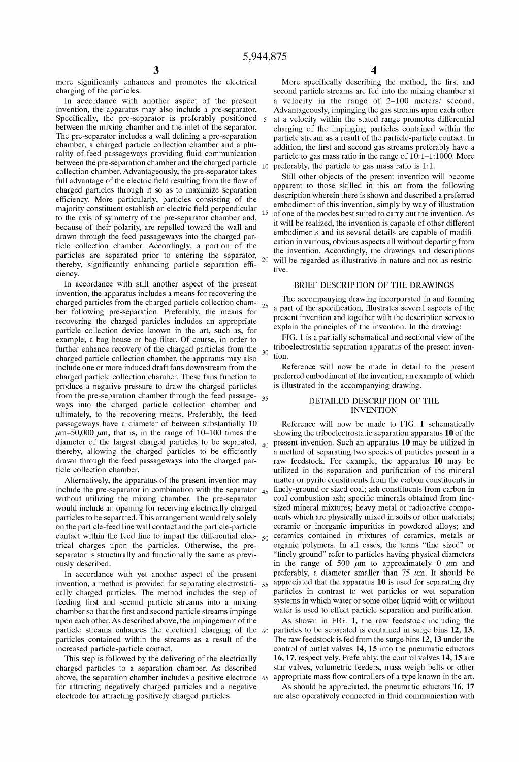$20\,$ 

25

<sup>3</sup> more significantly enhances and promotes the electrical charging of the particles.

In accordance With another aspect of the present invention, the apparatus may also include a pre-separator. Specifically, the pre-separator is preferably positioned between the mixing chamber and the inlet of the separator. The pre-separator includes a wall defining a pre-separation chamber, a charged particle collection chamber and a plu rality of feed passageways providing fluid communication between the pre-separation chamber and the charged particle collection chamber. Advantageously, the pre-separator takes full advantage of the electric field resulting from the flow of charged particles through it so as to maximize separation efficiency. More particularly, particles consisting of the majority constituent establish an electric field perpendicular to the axis of symmetry of the pre-separator chamber and, because of their polarity, are repelled toward the wall and drawn through the feed passageways into the charged particle collection chamber. Accordingly, a portion of the particles are separated prior to entering the separator, thereby, significantly enhancing particle separation efficiency.

In accordance With still another aspect of the present invention, the apparatus includes a means for recovering the charged particles from the charged particle collection cham ber folloWing pre-separation. Preferably, the means for recovering the charged particles includes an appropriate particle collection device known in the art, such as, for example, a bag house or bag filter. Of course, in order to further enhance recovery of the charged particles from the  $30<sup>°</sup>$ charged particle collection chamber, the apparatus may also include one or more induced draft fans doWnstream from the charged particle collection chamber. These fans function to produce a negative pressure to draW the charged particles from the pre-separation chamber through the feed passage 35 Ways into the charged particle collection chamber and ultimately, to the recovering means. Preferably, the feed passageways have a diameter of between substantially 10  $\mu$ m–50,000  $\mu$ m; that is, in the range of 10–100 times the diameter of the largest charged particles to be separated, thereby, allowing the charged particles to be efficiently draWn through the feed passageWays into the charged par ticle collection chamber.

Alternatively, the apparatus of the present invention may without utilizing the mixing chamber. The pre-separator Would include an opening for receiving electrically charged particles to be separated. This arrangement Would rely solely on the particle-feed line Wall contact and the particle-particle contact Within the feed line to impart the differential elec  $50$ trical charges upon the particles. OtherWise, the pre separator is structurally and functionally the same as previ ously described.

In accordance With yet another aspect of the present cally charged particles. The method includes the step of feeding first and second particle streams into a mixing chamber so that the first and second particle streams impinge upon each other. As described above, the impingement of the particle streams enhances the electrical charging of the 60 particles contained Within the streams as a result of the increased particle-particle contact.

This step is followed by the delivering of the electrically charged particles to a separation chamber. As described above, the separation chamber includes a positive electrode 65 appropriate mass flow controllers of a type known in the art. for attracting negatively charged particles and a negative electrode for attracting positively charged particles.

10 preferably, the particle to gas mass ratio is 1:1. More specifically describing the method, the first and second particle streams are fed into the mixing chamber at a velocity in the range of 2—100 meters/ second. Advantageously, impinging the gas streams upon each other at a velocity Within the stated range promotes differential charging of the impinging particles contained Within the particle stream as a result of the particle-particle contact. In addition, the first and second gas streams preferably have a particle to gas mass ratio in the range of 10:1—1:1000. More

Still other objects of the present invention Will become apparent to those skilled in this art from the folloWing description Wherein there is shoWn and described a preferred embodiment of this invention, simply by Way of illustration of one of the modes best suited to carry out the invention. As it will be realized, the invention is capable of other different embodiments and its several details are capable of modification in various, obvious aspects all Without departing from the invention. Accordingly, the draWings and descriptions will be regarded as illustrative in nature and not as restrictive.

# BRIEF DESCRIPTION OF THE DRAWINGS

The accompanying drawing incorporated in and forming a part of the specification, illustrates several aspects of the present invention and together With the description serves to explain the principles of the invention. In the drawing:

FIG. 1 is a partially schematical and sectional vieW of the triboelectrostatic separation apparatus of the present inven tion.

Reference Will noW be made in detail to the present preferred embodiment of the invention, an example of Which is illustrated in the accompanying drawing.

#### DETAILED DESCRIPTION OF THE INVENTION

include the pre-separator in combination with the separator  $_{45}$  hnely-ground or sized coal; ash constituents from carbon in invention, a method is provided for separating electrostati- $55$  appreciated that the apparatus 10 is used for separating dry Reference Will noW be made to FIG. 1 schematically shoWing the triboelectrostatic separation apparatus 10 of the  $_{40}$  present invention. Such an apparatus 10 may be utilized in a method of separating tWo species of particles present in a raW feedstock. For example, the apparatus 10 may be utilized in the separation and purification of the mineral matter or pyrite constituents from the carbon constituents in coal combustion ash; specific minerals obtained from finesized mineral mixtures; heavy metal or radioactive components Which are physically mixed in soils or other materials; ceramic or inorganic impurities in poWdered alloys; and ceramics contained in mixtures of ceramics, metals or organic polymers. In all cases, the terms "fine sized" or "finely ground" refer to particles having physical diameters in the range of 500  $\mu$ m to approximately 0  $\mu$ m and preferably, a diameter smaller than 75  $\mu$ m. It should be particles in contrast to Wet particles or Wet separation systems in Which Water or some other liquid With or Without water is used to effect particle separation and purification.

> As shown in FIG. 1, the raw feedstock including the particles to be separated is contained in surge bins 12, 13. The raw feedstock is fed from the surge bins 12, 13 under the control of outlet valves 14, 15 into the pneumatic eductors 16, 17, respectively. Preferably, the control valves 14, 15 are star valves, volumetric feeders, mass Weigh belts or other

> As should be appreciated, the pneumatic eductors 16, 17 are also operatively connected in fluid communication with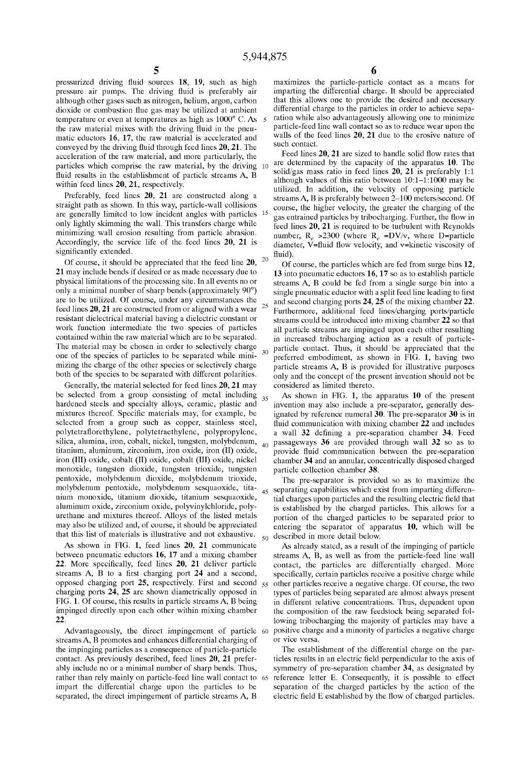$30$ 

pressurized driving fluid sources 18, 19, such as high pressure air pumps. The driving fluid is preferably air although other gases such as nitrogen, helium, argon, carbon dioxide or combustion flue gas may be utilized at ambient temperature or even at temperatures as high as 1000° C. As the raw material mixes with the driving fluid in the pneumatic eductors 16, 17, the raw material is accelerated and conveyed by the driving fluid through feed lines 20, 21. The acceleration of the raW material, and more particularly, the particles Which comprise the raW material, by the driving 10 fluid results in the establishment of particle streams A, B within feed lines 20, 21, respectively.

Preferably, feed lines 20, 21 are constructed along a straight path as shoWn. In this Way, particle-Wall collisions are generally limited to loW incident angles With particles only lightly skimming the Wall. This transfers charge While minimizing wall erosion resulting from particle abrasion. Accordingly, the service life of the feed lines 20, 21 is significantly extended.

 $\overline{20}$ Of course, it should be appreciated that the feed line 20, 21 may include bends if desired or as made necessary due to physical limitations of the processing site. In all events no or only a minimal number of sharp bends (approximately 90°) are to be utilized. Of course, under any circumstances the feed lines  $20$ ,  $21$  are constructed from or aligned with a wear  $25$ resistant dielectrical material having a dielectric constant or work function intermediate the two species of particles contained Within the raW material Which are to be separated. The material may be chosen in order to selectively charge one of the species of particles to be separated While mini mizing the charge of the other species or selectively charge both of the species to be separated With different polarities.

Generally, the material selected for feed lines 20, 21 may be selected from a group consisting of metal including 35 hardened steels and specialty alloys, ceramic, plastic and mixtures thereof. Specific materials may, for example, be selected from a group such as copper, stainless steel, polytetraflorethylene, polytetraethylene, polypropylene, silica, alumina, iron, cobalt, nickel, tungsten, molybdenum, titanium, aluminum, Zirconium, iron oxide, iron (II) oxide, iron (III) oxide, cobalt (II) oxide, cobalt (III) oxide, nickel monoxide, tungsten dioxide, tungsten trioxide, tungsten pentoxide, molybdenum dioxide, molybdenum trioxide, molybdenum pentoxide, molybdenum sesquaoxide, tita 45 nium monoxide, titanium dioxide, titanium sesquaoxide, aluminum oxide, zirconium oxide, polyvinylchloride, polyurethane and mixtures thereof. Alloys of the listed metals may also be utilized and, of course, it should be appreciated that this list of materials is illustrative and not exhaustive.  $50^{\circ}$ 

As shoWn in FIG. 1, feed lines 20, 21 communicate between pneumatic eductors 16, 17 and a mixing chamber 22. More specifically, feed lines  $20$ ,  $21$  deliver particle streams  $A$ ,  $B$  to a first charging port  $24$  and a second, opposed charging port  $25$ , respectively. First and second  $55$ charging ports 24, 25 are shoWn diametrically opposed in FIG. 1. Of course, this results in particle streams A, B being impinged directly upon each other Within mixing chamber 22.

Advantageously, the direct impingement of particle 60 streams A, B promotes and enhances differential charging of the impinging particles as a consequence of particle-particle contact. As previously described, feed lines 20, 21 prefer ably include no or a minimal number of sharp bends. Thus, rather than rely mainly on particle-feed line Wall contact to 65 impart the differential charge upon the particles to be separated, the direct impingement of particle streams A, B

6

maximizes the particle-particle contact as a means for imparting the differential charge. It should be appreciated that this allows one to provide the desired and necessary differential charge to the particles in order to achieve sepa ration while also advantageously allowing one to minimize particle-feed line Wall contact so as to reduce Wear upon the walls of the feed lines 20, 21 due to the erosive nature of such contact.

Feed lines 20, 21 are sized to handle solid flow rates that are determined by the capacity of the apparatus 10. The solid/gas mass ratio in feed lines 20, 21 is preferably 1:1 although values of this ratio between  $10:1-1:1000$  may be utilized. In addition, the velocity of opposing particle streams A, B is preferably betWeen 2—100 meters/second. Of course, the higher velocity, the greater the charging of the gas entrained particles by tribocharging. Further, the flow in feed lines 20, 21 is required to be turbulent With Reynolds number,  $R_e > 2300$  (where  $R_e = DV/v$ , where D=particle diameter, V=fluid flow velocity, and v=kinetic viscosity of fluid).

Of course, the particles Which are fed from surge bins 12, 13 into pneumatic eductors 16, 17 so as to establish particle streams A, B could be fed from a single surge bin into a single pneumatic eductor with a split feed line leading to first and second charging ports 24, 25 of the mixing chamber 22. Furthermore, additional feed lines/charging ports/particle streams could be introduced into mixing chamber 22 so that all particle streams are impinged upon each other resulting in increased tribocharging action as a result of particle particle contact. Thus, it should be appreciated that the preferred embodiment, as shoWn in FIG. 1, having tWo particle streams A, B is provided for illustrative purposes only and the concept of the present invention should not be considered as limited thereto.

As shoWn in FIG. 1, the apparatus 10 of the present invention may also include a pre-separator, generally des ignated by reference numeral 30. The pre-separator 30 is in fluid communication with mixing chamber 22 and includes a wall 32 defining a pre-separation chamber 34. Feed passageWays 36 are provided through Wall 32 so as to provide fluid communication between the pre-separation chamber 34 and an annular, concentrically disposed charged particle collection chamber 38.

The pre-separator is provided so as to maximize the separating capabilities Which exist from imparting differen tial charges upon particles and the resulting electric field that is established by the charged particles. This allows for a portion of the charged particles to be separated prior to entering the separator of apparatus 10, Which Will be described in more detail beloW.

As already stated, as a result of the impinging of particle streams A, B, as Well as from the particle-feed line Wall contact, the particles are differentially charged. More specifically, certain particles receive a positive charge while other particles receive a negative charge. Of course, the tWo types of particles being separated are almost alWays present in different relative concentrations. Thus, dependent upon the composition of the raW feedstock being separated fol loWing tribocharging the majority of particles may have a positive charge and a minority of particles a negative charge or vice versa.

The establishment of the differential charge on the par ticles results in an electric field perpendicular to the axis of symmetry of pre-separation chamber 34, as designated by reference letter E. Consequently, it is possible to effect separation of the charged particles by the action of the electric field E established by the flow of charged particles.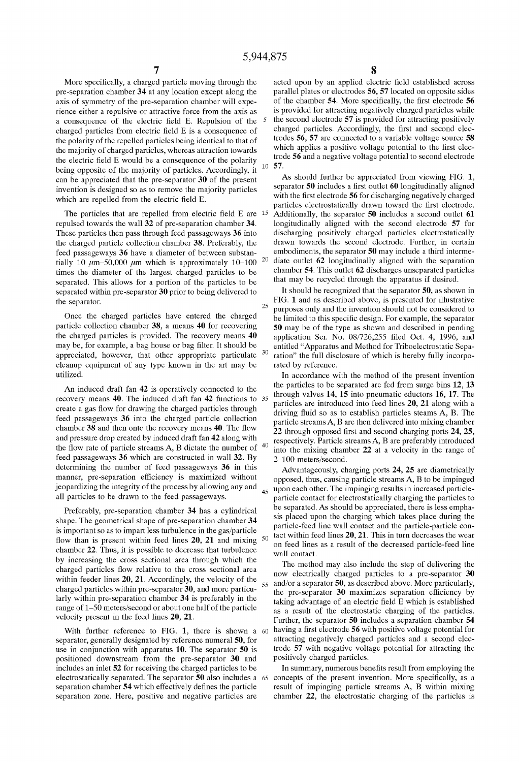30

20

55

60

More specifically, a charged particle moving through the pre-separation chamber 34 at any location except along the axis of symmetry of the pre-separation chamber Will expe rience either a repulsive or attractive force from the axis as a consequence of the electric field E. Repulsion of the charged particles from electric field  $E$  is a consequence of the polarity of the repelled particles being identical to that of the majority of charged particles, Whereas attraction toWards the electric field E would be a consequence of the polarity being opposite of the majority of particles. Accordingly, it can be appreciated that the pre-separator 30 of the present invention is designed so as to remove the majority particles which are repelled from the electric field E.

The particles that are repelled from electric field  $E$  are  $15$ repulsed toWards the Wall 32 of pre-separation chamber 34. These particles then pass through feed passageways 36 into the charged particle collection chamber 38. Preferably, the feed passageways 36 have a diameter of between substantially 10  $\mu$ m–50,000  $\mu$ m which is approximately 10–100 times the diameter of the largest charged particles to be separated. This alloWs for a portion of the particles to be separated Within pre-separator 30 prior to being delivered to the separator.

Once the charged particles have entered the charged particle collection chamber 38, a means 40 for recovering the charged particles is provided. The recovery means 40 may be, for example, a bag house or bag filter. It should be appreciated, hoWever, that other appropriate particulate cleanup equipment of any type knoWn in the art may be utilized.

An induced draft fan 42 is operatively connected to the recovery means 40. The induced draft fan 42 functions to 35 create a gas flow for drawing the charged particles through feed passageWays 36 into the charged particle collection chamber 38 and then onto the recovery means 40. The How and pressure drop created by induced draft fan  $42$  along with<br>the flow rate of positive streams  $\Lambda$ . B distate the number of  $\frac{40}{2}$ the How rate of particle streams A, B dictate the number of feed passageways 36 which are constructed in wall 32. By determining the number of feed passageways 36 in this manner, pre-separation efficiency is maximized without jeopardizing the integrity of the process by allowing any and all particles to be drawn to the feed passageways.

Preferably, pre-separation chamber 34 has a cylindrical shape. The geometrical shape of pre-separation chamber 34 is important so as to impart less turbulence in the gas/particle flow than is present within feed lines  $20$ ,  $21$  and mixing chamber 22. Thus, it is possible to decrease that turbulence by increasing the cross sectional area through Which the charged particles flow relative to the cross sectional area within feeder lines  $20$ ,  $21$ . Accordingly, the velocity of the charged particles Within pre-separator 30, and more particu larly Within pre-separation chamber 34 is preferably in the range of 1—50 meters/second or about one half of the particle velocity present in the feed lines 20, 21.

With further reference to FIG. 1, there is shown a separator, generally designated by reference numeral 50, for use in conjunction with apparatus 10. The separator  $50$  is positioned doWnstream from the pre-separator 30 and includes an inlet 52 for receiving the charged particles to be electrostatically separated. The separator 50 also includes a 65 separation chamber 54 which effectively defines the particle separation Zone. Here, positive and negative particles are

10 57. acted upon by an applied electric field established across parallel plates or electrodes 56, 57 located on opposite sides of the chamber 54. More specifically, the first electrode 56 is provided for attracting negatively charged particles While the second electrode 57 is provided for attracting positively charged particles. Accordingly, the first and second electrodes 56, 57 are connected to a variable voltage source 58 which applies a positive voltage potential to the first electrode 56 and a negative voltage potential to second electrode

As should further be appreciated from viewing FIG. 1, separator 50 includes a first outlet 60 longitudinally aligned with the first electrode 56 for discharging negatively charged particles electrostatically drawn toward the first electrode. Additionally, the separator 50 includes a second outlet 61 longitudinally aligned With the second electrode 57 for discharging positively charged particles electrostatically draWn toWards the second electrode. Further, in certain embodiments, the separator 50 may include a third interme diate outlet 62 longitudinally aligned With the separation chamber 54. This outlet 62 discharges unseparated particles that may be recycled through the apparatus if desired.

It should be recognized that the separator 50, as shown in FIG. 1 and as described above, is presented for illustrative purposes only and the invention should not be considered to be limited to this specific design. For example, the separator 50 may be of the type as shoWn and described in pending application Ser. No.  $08/726,255$  filed Oct. 4, 1996, and entitled "Apparatus and Method for Triboelectrostatic Sepa ration" the full disclosure of Which is hereby fully incorpo rated by reference.

In accordance With the method of the present invention the particles to be separated are fed from surge bins 12, 13 through valves 14, 15 into pneumatic eductors 16, 17. The particles are introduced into feed lines 20, 21 along With a driving fluid so as to establish particles steams A, B. The particle streams A, B are then delivered into mixing chamber 22 through opposed first and second charging ports 24, 25, respectively. Particle streams A, B are preferably introduced into the mixing chamber 22 at a velocity in the range of 2—100 meters/second.

 $_{45}$  upon each other. The impinging results in increased particle-Advantageously, charging ports 24, 25 are diametrically opposed, thus, causing particle streams A, B to be impinged particle contact for electrostatically charging the particles to be separated. As should be appreciated, there is less empha sis placed upon the charging Which takes place during the particle-feed line Wall contact and the particle-particle con tact Within feed lines 20, 21. This in turn decreases the Wear on feed lines as a result of the decreased particle-feed line Wall contact.

The method may also include the step of delivering the now electrically charged particles to a pre-separator 30 and/or a separator 50, as described above. More particularly, the pre-separator  $30$  maximizes separation efficiency by taking advantage of an electric field E which is established as a result of the electrostatic charging of the particles. Further, the separator 50 includes a separation chamber 54 having a first electrode 56 with positive voltage potential for attracting negatively charged particles and a second elec trode 57 With negative voltage potential for attracting the positively charged particles.

In summary, numerous benefits result from employing the concepts of the present invention. More specifically, as a result of impinging particle streams A, B Within mixing chamber 22, the electrostatic charging of the particles is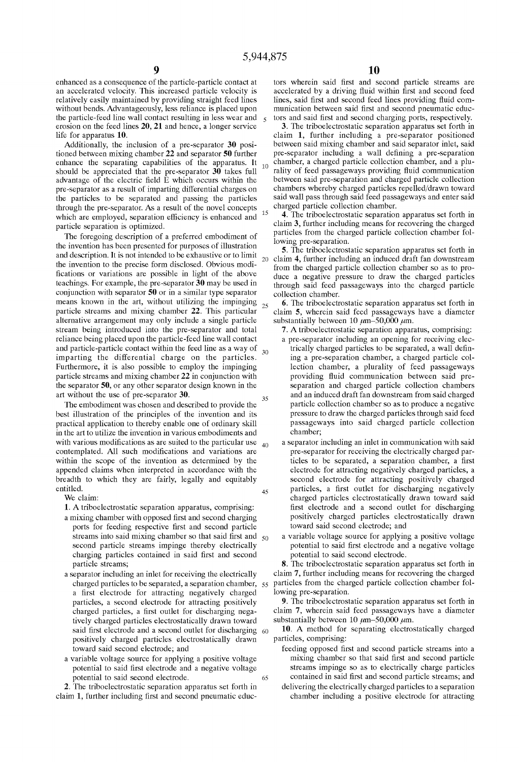$10$ 

35

65

enhanced as a consequence of the particle-particle contact at an accelerated velocity. This increased particle velocity is relatively easily maintained by providing straight feed lines without bends. Advantageously, less reliance is placed upon the particle-feed line Wall contact resulting in less Wear and erosion on the feed lines 20, 21 and hence, a longer service life for apparatus 10.

Additionally, the inclusion of a pre-separator 30 posi tioned betWeen mixing chamber 22 and separator 50 further enhance the separating capabilities of the apparatus. It should be appreciated that the pre-separator 30 takes full advantage of the electric field  $\hat{E}$  which occurs within the pre-separator as a result of imparting differential charges on the particles to be separated and passing the particles through the pre-separator. As a result of the novel concepts which are employed, separation efficiency is enhanced and particle separation is optimized.

The foregoing description of a preferred embodiment of the invention has been presented for purposes of illustration and description. It is not intended to be exhaustive or to limit  $20$ the invention to the precise form disclosed. Obvious modi fications or variations are possible in light of the above teachings. For example, the pre-separator 30 may be used in conjunction With separator 50 or in a similar type separator means known in the art, without utilizing the impinging 25 particle streams and mixing chamber 22. This particular alternative arrangement may only include a single particle stream being introduced into the pre-separator and total reliance being placed upon the particle-feed line Wall contact and particle-particle contact within the feed line as a way of  $_{30}$ imparting the differential charge on the particles. Furthermore, it is also possible to employ the impinging particle streams and mixing chamber 22 in conjunction With the separator 50, or any other separator design knoWn in the art Without the use of pre-separator 30.

The embodiment Was chosen and described to provide the best illustration of the principles of the invention and its practical application to thereby enable one of ordinary skill in the art to utilize the invention in various embodiments and with various modifications as are suited to the particular use  $_{40}$ contemplated. All such modifications and variations are within the scope of the invention as determined by the appended claims When interpreted in accordance With the breadth to Which they are fairly, legally and equitably entitled. 45

We claim:

1. A triboelectrostatic separation apparatus, comprising:

- a mixing chamber with opposed first and second charging ports for feeding respective first and second particle streams into said mixing chamber so that said first and  $\zeta_0$ second particle streams impinge thereby electrically charging particles contained in said first and second
- particle streams; a separator including an inlet for receiving the electrically a first electrode for attracting negatively charged particles, a second electrode for attracting positively charged particles, a first outlet for discharging negatively charged particles electrostatically drawn toward said first electrode and a second outlet for discharging  $60$ positively charged particles electrostatically draWn toWard said second electrode; and charged particles to be separated, a separation chamber, 55
- a variable voltage source for applying a positive voltage potential to said first electrode and a negative voltage potential to said second electrode.

2. The triboelectrostatic separation apparatus set forth in claim 1, further including first and second pneumatic educ-

tors wherein said first and second particle streams are accelerated by a driving fluid within first and second feed lines, said first and second feed lines providing fluid communication between said first and second pneumatic eductors and said first and second charging ports, respectively.

3. The triboelectrostatic separation apparatus set forth in claim 1, further including a pre-separator positioned between said mixing chamber and said separator inlet, said pre-separator including a wall defining a pre-separation chamber, a charged particle collection chamber, and a plu rality of feed passageways providing fluid communication between said pre-separation and charged particle collection chambers Whereby charged particles repelled/draWn toWard said wall pass through said feed passageways and enter said charged particle collection chamber.

4. The triboelectrostatic separation apparatus set forth in claim 3, further including means for recovering the charged particles from the charged particle collection chamber fol loWing pre-separation.

5. The triboelectrostatic separation apparatus set forth in claim 4, further including an induced draft fan doWnstream from the charged particle collection chamber so as to pro duce a negative pressure to draw the charged particles through said feed passageWays into the charged particle collection chamber.

6. The triboelectrostatic separation apparatus set forth in claim 5, Wherein said feed passageWays have a diameter substantially between 10  $\mu$ m-50,000  $\mu$ m.

- 7. A triboelectrostatic separation apparatus, comprising:
- a pre-separator including an opening for receiving elec trically charged particles to be separated, a wall defining a pre-separation chamber, a charged particle col lection chamber, a plurality of feed passageways providing fluid communication between said preseparation and charged particle collection chambers and an induced draft fan doWnstream from said charged particle collection chamber so as to produce a negative pressure to draW the charged particles through said feed passageWays into said charged particle collection chamber; a separator including an inlet in communication With said
- pre-separator for receiving the electrically charged par ticles to be separated, a separation chamber, a first electrode for attracting negatively charged particles, a second electrode for attracting positively charged particles, a first outlet for discharging negatively charged particles electrostatically draWn toWard said first electrode and a second outlet for discharging positively charged particles electrostatically draWn toWard said second electrode; and
- a variable voltage source for applying a positive voltage potential to said first electrode and a negative voltage potential to said second electrode.

8. The triboelectrostatic separation apparatus set forth in claim 7, further including means for recovering the charged particles from the charged particle collection chamber fol loWing pre-separation.

9. The triboelectrostatic separation apparatus set forth in claim 7, Wherein said feed passageWays have a diameter substantially between 10  $\mu$ m–50,000  $\mu$ m.

10. A method for separating electrostatically charged particles, comprising:

- feeding opposed first and second particle streams into a mixing chamber so that said first and second particle streams impinge so as to electrically charge particles contained in said first and second particle streams; and
- delivering the electrically charged particles to a separation chamber including a positive electrode for attracting